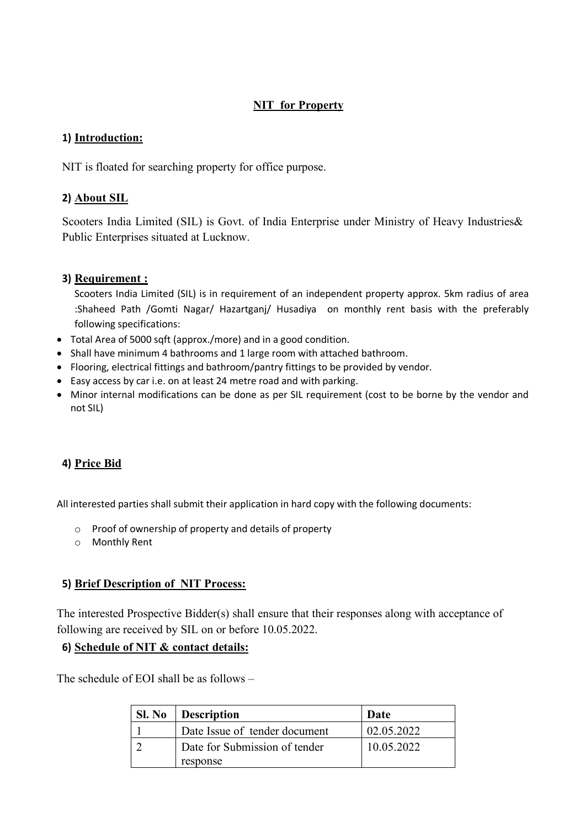#### **NIT for Property**

#### **1) Introduction:**

NIT is floated for searching property for office purpose.

## **2) About SIL**

Scooters India Limited (SIL) is Govt. of India Enterprise under Ministry of Heavy Industries& Public Enterprises situated at Lucknow.

## **3) Requirement :**

Scooters India Limited (SIL) is in requirement of an independent property approx. 5km radius of area :Shaheed Path /Gomti Nagar/ Hazartganj/ Husadiya on monthly rent basis with the preferably following specifications:

- Total Area of 5000 sqft (approx./more) and in a good condition.
- Shall have minimum 4 bathrooms and 1 large room with attached bathroom.
- Flooring, electrical fittings and bathroom/pantry fittings to be provided by vendor.
- Easy access by car i.e. on at least 24 metre road and with parking.
- Minor internal modifications can be done as per SIL requirement (cost to be borne by the vendor and not SIL)

# **4) Price Bid**

All interested parties shall submit their application in hard copy with the following documents:

- o Proof of ownership of property and details of property
- o Monthly Rent

#### **5) Brief Description of NIT Process:**

The interested Prospective Bidder(s) shall ensure that their responses along with acceptance of following are received by SIL on or before 10.05.2022.

#### **6) Schedule of NIT & contact details:**

The schedule of EOI shall be as follows –

| Sl. No | Description                   | Date       |
|--------|-------------------------------|------------|
|        | Date Issue of tender document | 02.05.2022 |
|        | Date for Submission of tender | 10.05.2022 |
|        | response                      |            |